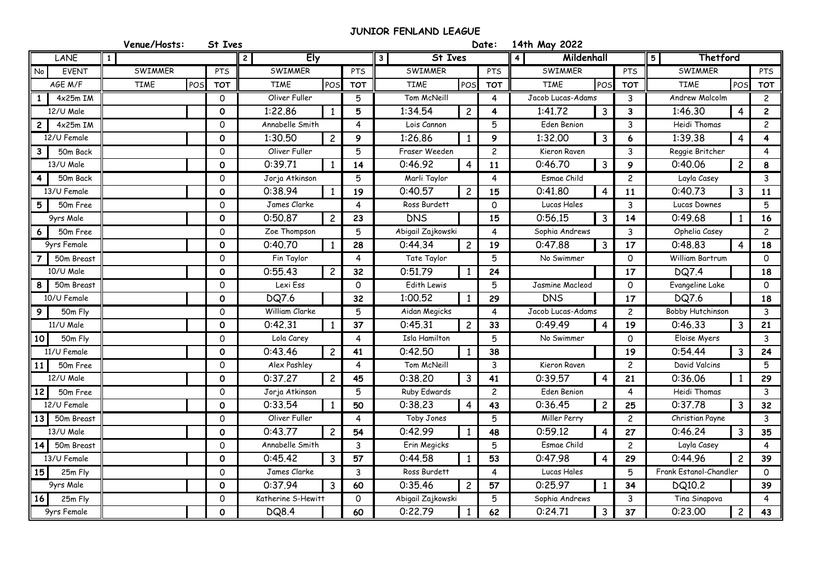## **JUNIOR FENLAND LEAGUE**

|                              | Venue/Hosts:       | St Ives      |                           |                |                                    | Date:             | 14th May 2022                |                             |                            |                                |                         |
|------------------------------|--------------------|--------------|---------------------------|----------------|------------------------------------|-------------------|------------------------------|-----------------------------|----------------------------|--------------------------------|-------------------------|
| LANE                         | 1 <sup>1</sup>     |              | $\mathbf{2}$<br>Ely       |                | 3 <sup>1</sup><br><b>St Ives</b>   |                   | $\overline{4}$<br>Mildenhall |                             | $\overline{5}$<br>Thetford |                                |                         |
| No<br><b>EVENT</b>           | SWIMMER            | PTS          | SWIMMER                   | PTS            | SWIMMER                            | PTS               | SWIMMER<br><b>PTS</b>        |                             | SWIMMER                    |                                | PTS                     |
| AGE M/F                      | <b>TIME</b><br>POS | <b>TOT</b>   | <b>TIME</b><br>POS        | <b>TOT</b>     | <b>TIME</b><br>POS                 | <b>TOT</b>        | POS<br><b>TIME</b>           | <b>TOT</b>                  | <b>TIME</b>                | POS                            | <b>TOT</b>              |
| $4x25m$ IM                   |                    | 0            | Oliver Fuller             | 5              | Tom McNeill                        |                   | Jacob Lucas-Adams            | 3 <sup>7</sup>              |                            | Andrew Malcolm<br>$\mathbf{2}$ |                         |
| 12/U Male                    |                    | $\mathbf 0$  | 1:22.86<br>1              | 5              | 1:34.54<br>$\overline{c}$          | 4                 | 1:41.72<br>$\mathbf{3}$      | $\mathbf{3}$                | 1:46.30                    | $\overline{4}$                 | $\overline{2}$          |
| $4x25m$ IM<br>$\overline{c}$ |                    | $\mathsf{O}$ | Annabelle Smith           | $\overline{4}$ | Lois Cannon                        | 5                 | Eden Benion                  | $\mathbf{3}$                | Heidi Thomas               |                                | $\mathbf{2}$            |
| 12/U Female                  |                    | $\mathbf 0$  | 1:30.50<br>$\overline{c}$ | 9              | 1:26.86<br>-1                      | 9                 | 1:32.00<br>3                 | 6                           | 1:39.38                    | $\overline{4}$                 | $\overline{\mathbf{4}}$ |
| 50m Back                     |                    | $\mathsf{O}$ | Oliver Fuller             | 5              | Fraser Weeden                      | $\overline{c}$    | Kieron Raven                 | $\mathbf{3}$                | Reggie Britcher            |                                | 4                       |
| 13/U Male                    |                    | $\mathbf 0$  | 0:39.71<br>$\mathbf{1}$   | 14             | 0:46.92<br>$\overline{4}$          | 11                | 0:46.70<br>$\mathbf{3}$      | 9                           | 0:40.06                    | $\overline{c}$                 | 8                       |
| 50m Back                     |                    | $\mathsf{O}$ | Jorja Atkinson            | 5              |                                    | Marli Taylor<br>4 |                              | Esmae Child<br>$\mathbf{2}$ |                            |                                | $\mathbf{3}$            |
| 13/U Female                  |                    | $\mathbf 0$  | 0:38.94<br>$\mathbf{1}$   | 19             | 0:40.57<br>$\overline{c}$          | 15                | 0:41,80<br>$\overline{4}$    | 11                          | 0:40.73                    | $\overline{3}$                 | 11                      |
| 5<br>50m Free                |                    | $\mathsf{o}$ | James Clarke              | $\overline{4}$ | Ross Burdett                       | $\circ$           | Lucas Hales                  | 3 <sup>7</sup>              | Lucas Downes               |                                | 5                       |
| 9yrs Male                    |                    | $\mathbf 0$  | 0:50.87<br>$\overline{c}$ | 23             | <b>DNS</b>                         | 15                | 0:56.15<br>3                 | 14                          | 0:49.68                    | $\mathbf{1}$                   | 16                      |
| 50m Free<br>6                |                    | $\mathsf{O}$ | Zoe Thompson              | 5              | Abigail Zajkowski                  | 4                 | Sophia Andrews               | $\mathbf{3}$                | Ophelia Casey              |                                | $\mathbf{2}$            |
| 9yrs Female                  |                    | $\mathbf 0$  | 0:40.70<br>1              | 28             | 0:44.34<br>$\overline{c}$          | 19                | 0:47.88<br>3                 | 17                          | 0:48.83                    | $\overline{4}$                 | 18                      |
| 50m Breast                   |                    | $\circ$      | Fin Taylor                | $\overline{4}$ |                                    | Tate Taylor<br>5  |                              | No Swimmer<br>0             |                            |                                | $\mathbf{0}$            |
| 10/U Male                    |                    | $\mathbf 0$  | 0:55.43<br>$\overline{c}$ | 32             | 0:51.79<br>-1                      | 24                |                              | 17                          | <b>DQ7.4</b>               |                                | 18                      |
| 50m Breast<br>8              |                    | $\mathsf{O}$ | Lexi Ess                  | $\Omega$       | Edith Lewis                        | 5                 | Jasmine Macleod              | $\mathsf{O}$                | Evangeline Lake            |                                | $\mathbf{0}$            |
| 10/U Female                  |                    | $\mathbf 0$  | DQ7.6                     | 32             | 1:00.52<br>-1                      | 29                | <b>DNS</b>                   | 17                          | DQ7.6                      |                                | 18                      |
| 50m Fly<br>9                 |                    | $\mathsf{O}$ | William Clarke            | 5              | Aidan Megicks                      | 4                 | Jacob Lucas-Adams            | $2^{\circ}$                 | <b>Bobby Hutchinson</b>    |                                | $\mathbf{3}$            |
| 11/U Male                    |                    | $\mathbf{o}$ | 0:42.31<br>$\mathbf{1}$   | 37             | 0:45.31<br>$\overline{c}$          | 33                | 0:49.49<br>$\overline{4}$    | 19                          | 0:46.33                    | $\mathbf{3}$                   | 21                      |
| 50m Fly<br>10                |                    | $\circ$      | Lola Carey                | 4              | Isla Hamilton                      | 5                 | No Swimmer                   | $\Omega$                    | Eloise Myers               |                                | $\mathbf{3}$            |
| 11/U Female                  |                    | $\mathbf 0$  | 0:43.46<br>$\overline{c}$ | 41             | 0:42.50<br>$\overline{1}$          | 38                |                              | 19                          | 0:54.44                    | $\mathbf{3}$                   | 24                      |
| 50m Free<br>11               |                    | $\mathsf{O}$ | Alex Pashley              | $\overline{4}$ | Tom McNeill                        | $\mathbf{3}$      | Kieron Raven                 | $\mathbf{2}$                | David Valcins              |                                | 5                       |
| 12/U Male                    |                    | $\mathbf 0$  | 0:37.27<br>$\overline{c}$ | 45             | 0:38.20<br>$\overline{3}$          | 41                | 0:39.57<br>$\overline{4}$    | 21                          | 0:36.06                    | $\mathbf{1}$                   | 29                      |
| 12<br>50m Free               |                    | $\mathsf{O}$ | Jorja Atkinson            | 5              | Ruby Edwards                       | $\mathbf{2}$      | Eden Benion                  | $\overline{4}$              | Heidi Thomas               |                                | $\mathbf{3}$            |
| 12/U Female                  |                    | $\mathbf 0$  | 0:33.54<br>$\mathbf{1}$   | 50             | 0:38.23<br>$\overline{4}$          | 43                | 0:36.45<br>$\overline{c}$    | 25                          | 0:37.78                    | $\mathbf{3}$                   | 32                      |
| 13<br>50m Breast             |                    | $\mathsf{O}$ | Oliver Fuller             | $\overline{4}$ |                                    | 5                 | $\mathbf{2}$<br>Miller Perry |                             | Christian Payne            |                                | $\mathbf{3}$            |
| 13/U Male                    |                    | $\mathbf 0$  | 0:43.77<br>$\overline{c}$ | 54             | 0:42.99<br>$\overline{\mathbf{1}}$ | 48                | 0:59.12<br>$\overline{4}$    | 27                          | 0:46.24                    | $\mathbf{3}$                   | 35                      |
| 50m Breast<br>14             |                    | $\mathsf{O}$ | Annabelle Smith           | $\mathbf{3}$   | Erin Megicks                       | 5                 | Esmae Child                  | $2^{\circ}$                 | Layla Casey                |                                | $\overline{4}$          |
| 13/U Female                  |                    | $\mathbf 0$  | 0:45.42<br>$\mathbf{3}$   | 57             | 0:44.58<br>$\mathbf{1}$            | 53                | 0:47.98<br>$\overline{4}$    | 29                          | 0:44.96                    | $\overline{c}$                 | 39                      |
| 15<br>25m Fly                |                    | $\mathsf{O}$ | James Clarke              | $\mathbf{3}$   | Ross Burdett                       | 4                 | Lucas Hales                  | 5                           | Frank Estanol-Chandler     |                                | $\mathsf{o}$            |
| 9yrs Male                    |                    | $\mathbf 0$  | 0:37.94<br>$\overline{3}$ | 60             | 0:35.46<br>$\overline{c}$          | 57                | 0:25.97                      | 34                          | DQ10.2                     |                                | 39                      |
| 25m Fly<br>16                |                    | $\mathsf{O}$ | Katherine S-Hewitt        | $\circ$        | Abigail Zajkowski                  | 5                 | Sophia Andrews               | $\mathbf{3}$                | Tina Sinapova              |                                | 4                       |
| 9yrs Female                  |                    | $\mathbf 0$  | DQ8.4                     | 60             | 0:22.79<br>1                       | 62                | $\mathbf{3}$<br>0:24.71      | 37                          | 0:23.00                    | $\overline{2}$                 | 43                      |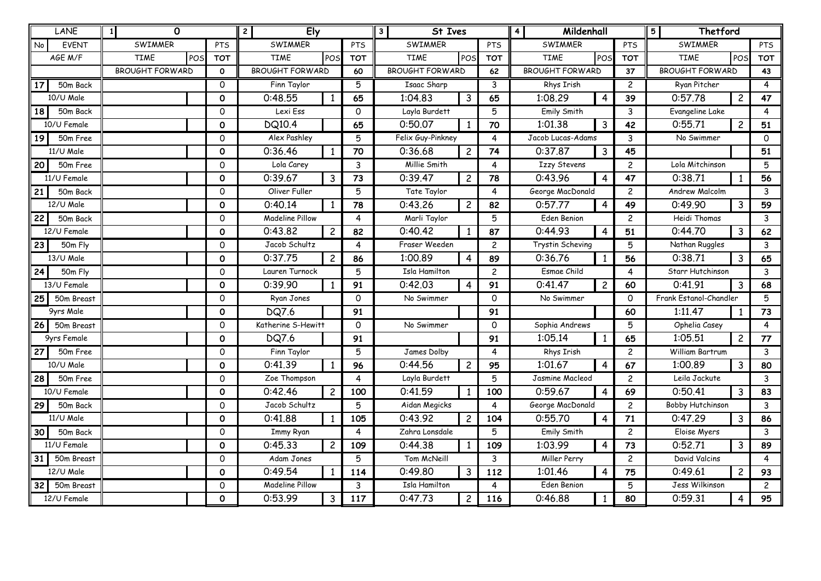|                 | <b>LANE</b>        | $\Omega$<br>$\vert$ 1  |              | Ely<br>$\mathbf{2}$    |                |            | <b>St Ives</b><br>3          |                |                        | Mildenhall<br>4                    |                |                        | Thetford<br>5           |                |                |
|-----------------|--------------------|------------------------|--------------|------------------------|----------------|------------|------------------------------|----------------|------------------------|------------------------------------|----------------|------------------------|-------------------------|----------------|----------------|
| No              | <b>EVENT</b>       | SWIMMER                | <b>PTS</b>   | SWIMMER                |                | PTS        | SWIMMER                      |                | <b>PTS</b>             | SWIMMER                            |                | PTS                    | SWIMMER                 |                | PTS            |
|                 | AGE M/F            | <b>TIME</b><br>POS     | <b>TOT</b>   | <b>TIME</b>            | POS            | <b>TOT</b> | <b>TIME</b>                  | POS            | <b>TOT</b>             | <b>TIME</b>                        | POS            | <b>TOT</b>             | <b>TIME</b>             | POS            | <b>TOT</b>     |
|                 |                    | <b>BROUGHT FORWARD</b> | $\mathbf{o}$ | <b>BROUGHT FORWARD</b> |                | 60         | <b>BROUGHT FORWARD</b><br>62 |                | <b>BROUGHT FORWARD</b> |                                    | 37             | <b>BROUGHT FORWARD</b> |                         | 43             |                |
| 17              | 50m Back           |                        | $\Omega$     | Finn Taylor            |                | 5          | Isaac Sharp<br>3             |                | Rhys Irish             |                                    | $\overline{c}$ | Ryan Pitcher           |                         | $\overline{4}$ |                |
|                 | 10/U Male          |                        | 0            | 0:48.55                | 1              | 65         | 1:04.83                      | $\mathbf{3}$   | 65                     | 1:08.29                            | 4              | 39                     | 0:57.78                 | $\overline{c}$ | 47             |
| 18 I            | 50m Back           |                        | $\Omega$     | Lexi Ess               |                | $\Omega$   | Layla Burdett<br>5           |                | Emily Smith            |                                    | 3              | Evangeline Lake        |                         | 4              |                |
|                 | 10/U Female        |                        | $\Omega$     | <b>DQ10.4</b>          |                | 65         | 0:50.07                      | $\mathbf{1}$   | 70                     | 1:01.38                            | 3              | 42                     | 0:55.71                 | $\overline{c}$ | 51             |
| 19              | 50m Free           |                        | $\Omega$     | Alex Pashley           |                | 5          | Felix Guy-Pinkney<br>4       |                | Jacob Lucas-Adams<br>3 |                                    |                | No Swimmer             |                         | $\Omega$       |                |
|                 | 11/U Male          |                        | $\mathbf 0$  | 0:36.46                | 1              | 70         | 0:36.68                      | $\overline{c}$ | 74                     | 0:37.87                            | 3              | 45                     |                         |                | 51             |
| 20              | 50m Free           |                        | 0            | Lola Carey             |                | 3          | Millie Smith                 |                | 4                      | <b>Izzy Stevens</b>                |                | $\overline{c}$         | Lola Mitchinson         |                | 5              |
|                 | 11/U Female        |                        | $\Omega$     | 0:39.67                | 3              | 73         | 0:39.47                      | $\overline{c}$ | 78                     | 0:43.96                            | 4              | 47                     | 0:38.71                 |                | 56             |
| 21              | 50m Back           |                        | 0            | Oliver Fuller          |                | 5          | Tate Taylor                  |                | 4                      | George MacDonald                   |                | $\overline{c}$         | <b>Andrew Malcolm</b>   |                | 3              |
|                 | 12/U Male          |                        | $\mathbf{o}$ | 0:40.14                | 1              | 78         | 0:43.26                      | $\overline{c}$ | 82                     | 0:57.77                            | 4              | 49                     | 0:49.90                 | 3              | 59             |
| 22              | 50m Back           |                        | $\Omega$     | <b>Madeline Pillow</b> |                | 4          | Marli Taylor                 |                | 5                      | Eden Benion                        |                | $\overline{c}$         | Heidi Thomas            |                | $\mathbf{3}$   |
|                 | 12/U Female        |                        | $\mathbf{o}$ | 0:43.82                | $\overline{c}$ | 82         | 0:40.42                      | $\mathbf{1}$   | 87                     | 0:44.93                            | 4              | 51                     | 0:44.70                 | 3              | 62             |
| 23              | 50m Fly            |                        | $\Omega$     | Jacob Schultz          |                | 4          | Fraser Weeden                |                | $\overline{c}$         | Trystin Scheving<br>5              |                |                        | Nathan Ruggles          |                | 3              |
|                 | 13/U Male          |                        | $\mathbf{o}$ | 0:37.75                | $2^{\circ}$    | 86         | 1:00.89                      | 4              | 89                     | 0:36.76                            | 1              | 56                     | 0:38.71                 | 3              | 65             |
| 24!             | 50m Fly            |                        | $\Omega$     | Lauren Turnock         |                | 5          | Isla Hamilton                |                | $\overline{c}$         | Esmae Child                        |                | $\overline{4}$         | Starr Hutchinson        |                | 3              |
|                 | 13/U Female        |                        | $\Omega$     | 0:39.90                | 1              | 91         | 0:42.03                      | $\overline{4}$ | 91                     | 0:41.47                            | $\overline{2}$ | 60                     | 0:41.91                 | 3              | 68             |
| 25              | 50m Breast         |                        | 0            | Ryan Jones             |                | 0          | No Swimmer                   |                | 0                      | No Swimmer                         |                | $\Omega$               | Frank Estanol-Chandler  |                | 5              |
|                 | 9yrs Male          |                        | $\mathbf{o}$ | <b>DQ7.6</b>           |                | 91         |                              |                | 91                     |                                    |                | 60                     | 1:11.47                 | $\mathbf{1}$   | 73             |
| 26              | 50m Breast         |                        | $\Omega$     | Katherine S-Hewitt     |                | 0          | No Swimmer                   |                | 0                      | Sophia Andrews                     |                | 5                      | Ophelia Casey           |                | 4              |
|                 | <b>9yrs Female</b> |                        | $\mathbf{o}$ | <b>DQ7.6</b>           |                | 91         |                              |                | 91                     | 1:05.14                            | $\mathbf{1}$   | 65                     | 1:05.51                 | $\overline{c}$ | 77             |
| 27              | 50m Free           |                        | 0            | Finn Taylor            |                | 5          | James Dolby                  |                | 4                      | Rhys Irish                         |                | $\overline{c}$         | William Bartrum         |                | 3              |
|                 | 10/U Male          |                        | $\mathbf{o}$ | 0:41.39                | $\mathbf{1}$   | 96         | 0:44.56                      | $\overline{c}$ | 95                     | 1:01.67                            | 4              | 67                     | 1:00.89                 | 3              | 80             |
| 28              | 50m Free           |                        | $\Omega$     | Zoe Thompson           |                | 4          | Layla Burdett                |                | 5                      | Jasmine Macleod                    |                | $\overline{c}$         | Leila Jackute           |                | 3              |
|                 | 10/U Female        |                        | $\mathbf{o}$ | 0:42.46                | $\overline{c}$ | 100        | 0:41.59                      | 1              | 100                    | 0:59.67                            | 4              | 69                     | 0:50.41                 | 3              | 83             |
| 29              | 50m Back           |                        | $\Omega$     | Jacob Schultz          |                | 5          | Aidan Megicks                |                | 4                      | George MacDonald<br>$\overline{c}$ |                |                        | <b>Bobby Hutchinson</b> |                | 3              |
|                 | 11/U Male          |                        | $\mathbf{o}$ | 0:41.88                | 1              | 105        | 0:43.92                      | $\overline{c}$ | 104                    | 0:55.70                            | 4              | 71                     | 0:47.29                 | 3              | 86             |
| 30              | 50m Back           |                        | 0            | <b>Immy Ryan</b>       |                | 4          | Zahra Lonsdale               |                | 5                      | Emily Smith                        |                | $\overline{c}$         | Eloise Myers            |                | 3              |
|                 | 11/U Female        |                        | $\mathbf{o}$ | 0:45.33                | $\overline{2}$ | 109        | 0:44.38                      | $\mathbf{1}$   | 109                    | 1:03.99                            | 4              | 73                     | 0:52.71                 | 3              | 89             |
| 31 <sup>1</sup> | 50m Breast         |                        | 0            | Adam Jones             |                | 5          | Tom McNeill                  |                | 3                      | Miller Perry<br>$\overline{c}$     |                |                        | David Valcins           |                | $\overline{4}$ |
|                 | $12$ /U Male       |                        | $\mathbf{O}$ | 0:49.54                | 1              | 114        | 0:49.80                      | 3              | 112                    | 1:01.46                            | 4              | 75                     | 0:49.61                 | $\overline{c}$ | 93             |
| 32              | 50m Breast         |                        | 0            | <b>Madeline Pillow</b> |                | 3          | Isla Hamilton                |                | 4                      | Eden Benion<br>5                   |                | Jess Wilkinson         |                         | $\mathbf{2}$   |                |
|                 | 12/U Female        |                        | $\mathbf{o}$ | 0:53.99                | 3              | 117        | 0:47.73                      | $\overline{c}$ | 116                    | 0:46.88                            | 1              | 80                     | 0:59.31                 | 4              | 95             |